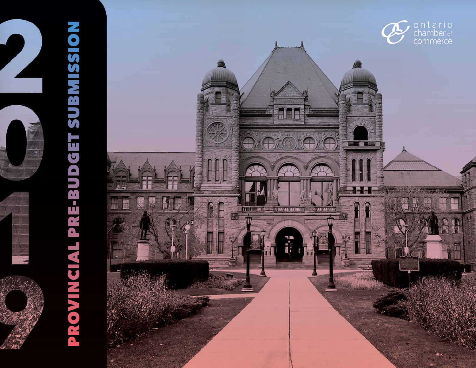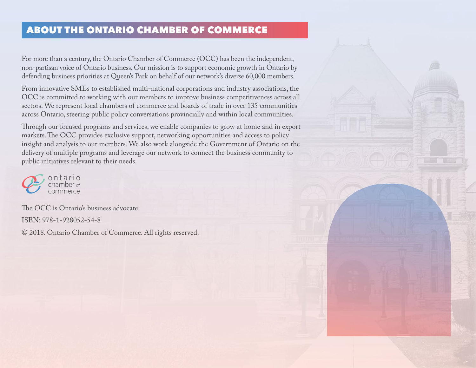### <span id="page-1-0"></span>ABOUT THE ONTARIO CHAMBER OF COMMERCE

For more than a century, the Ontario Chamber of Commerce (OCC) has been the independent, non-partisan voice of Ontario business. Our mission is to support economic growth in Ontario by defending business priorities at Queen's Park on behalf of our network's diverse 60,000 members.

From innovative SMEs to established multi-national corporations and industry associations, the OCC is committed to working with our members to improve business competitiveness across all sectors. We represent local chambers of commerce and boards of trade in over 135 communities across Ontario, steering public policy conversations provincially and within local communities.

Through our focused programs and services, we enable companies to grow at home and in export markets. The OCC provides exclusive support, networking opportunities and access to policy insight and analysis to our members. We also work alongside the Government of Ontario on the delivery of multiple programs and leverage our network to connect the business community to public initiatives relevant to their needs.



The OCC is Ontario's business advocate. ISBN: 978-1-928052-54-8

© 2018. Ontario Chamber of Commerce. All rights reserved.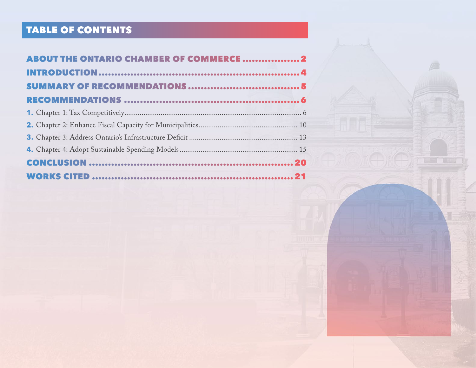# TABLE OF CONTENTS

| <b>ABOUT THE ONTARIO CHAMBER OF COMMERCE 2</b> |  |
|------------------------------------------------|--|
|                                                |  |
|                                                |  |
|                                                |  |
|                                                |  |
|                                                |  |
|                                                |  |
|                                                |  |
|                                                |  |
|                                                |  |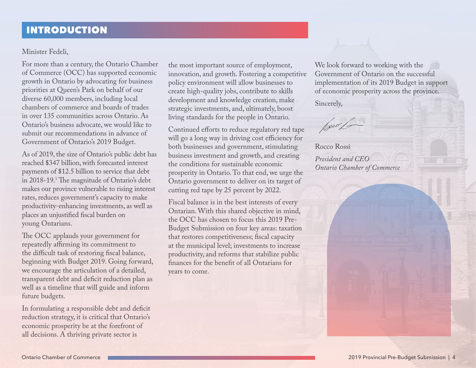### <span id="page-3-0"></span>INTRODUCTION

#### Minister Fedeli,

For more than a century, the Ontario Chamber of Commerce (OCC) has supported economic growth in Ontario by advocating for business priorities at Queen's Park on behalf of our diverse 60,000 members, including local chambers of commerce and boards of trades in over 135 communities across Ontario. As Ontario's business advocate, we would like to submit our recommendations in advance of Government of Ontario's 2019 Budget.

As of 2019, the size of Ontario's public debt has reached \$347 billion, with forecasted interest payments of \$12.5 billion to service that debt in 2018-19.1 The magnitude of Ontario's debt makes our province vulnerable to rising interest rates, reduces government's capacity to make productivity-enhancing investments, as well as places an unjustified fiscal burden on young Ontarians.

The OCC applauds your government for repeatedly affirming its commitment to the difficult task of restoring fiscal balance, beginning with Budget 2019. Going forward, we encourage the articulation of a detailed, transparent debt and deficit reduction plan as well as a timeline that will guide and inform future budgets.

In formulating a responsible debt and deficit reduction strategy, it is critical that Ontario's economic prosperity be at the forefront of all decisions. A thriving private sector is

the most important source of employment, innovation, and growth. Fostering a competitive policy environment will allow businesses to create high-quality jobs, contribute to skills development and knowledge creation, make strategic investments, and, ultimately, boost living standards for the people in Ontario.

Continued efforts to reduce regulatory red tape will go a long way in driving cost efficiency for both businesses and government, stimulating business investment and growth, and creating the conditions for sustainable economic prosperity in Ontario. To that end, we urge the Ontario government to deliver on its target of cutting red tape by 25 percent by 2022.

Fiscal balance is in the best interests of every Ontarian. With this shared objective in mind, the OCC has chosen to focus this 2019 Pre-Budget Submission on four key areas: taxation that restores competitiveness; fiscal capacity at the municipal level; investments to increase productivity, and reforms that stabilize public finances for the benefit of all Ontarians for years to come.

We look forward to working with the Government of Ontario on the successful implementation of its 2019 Budget in support of economic prosperity across the province. Sincerely,

buo lo

Rocco Rossi *President and CEO Ontario Chamber of Commerce*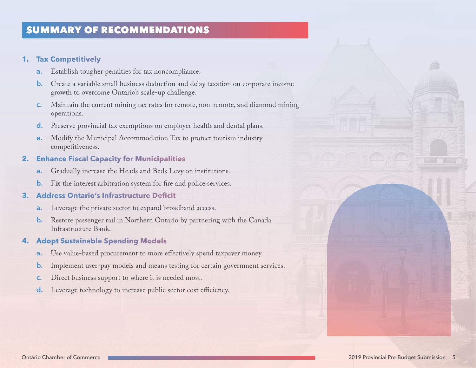## <span id="page-4-0"></span>SUMMARY OF RECOMMENDATIONS

#### **1. Tax Competitively**

- **a.** Establish tougher penalties for tax noncompliance.
- **b.** Create a variable small business deduction and delay taxation on corporate income growth to overcome Ontario's scale-up challenge.
- **c.** Maintain the current mining tax rates for remote, non-remote, and diamond mining operations.
- **d.** Preserve provincial tax exemptions on employer health and dental plans.
- **e.** Modify the Municipal Accommodation Tax to protect tourism industry competitiveness.

### **2. Enhance Fiscal Capacity for Municipalities**

- **a.** Gradually increase the Heads and Beds Levy on institutions.
- **b.** Fix the interest arbitration system for fire and police services.

#### **3. Address Ontario's Infrastructure Deficit**

- **a.** Leverage the private sector to expand broadband access.
- **b.** Restore passenger rail in Northern Ontario by partnering with the Canada Infrastructure Bank.

### **4. Adopt Sustainable Spending Models**

- **a.** Use value-based procurement to more effectively spend taxpayer money.
- **b.** Implement user-pay models and means testing for certain government services.
- **c.** Direct business support to where it is needed most.
- **d.** Leverage technology to increase public sector cost efficiency.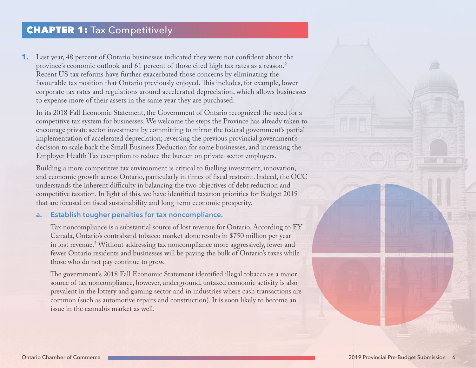### <span id="page-5-0"></span>**CHAPTER 1:** Tax Competitively

**1.** Last year, 48 percent of Ontario businesses indicated they were not confident about the province's economic outlook and 61 percent of those cited high tax rates as a reason.<sup>2</sup> Recent US tax reforms have further exacerbated those concerns by eliminating the favourable tax position that Ontario previously enjoyed. This includes, for example, lower corporate tax rates and regulations around accelerated depreciation, which allows businesses to expense more of their assets in the same year they are purchased.

In its 2018 Fall Economic Statement, the Government of Ontario recognized the need for a competitive tax system for businesses. We welcome the steps the Province has already taken to encourage private sector investment by committing to mirror the federal government's partial implementation of accelerated depreciation; reversing the previous provincial government's decision to scale back the Small Business Deduction for some businesses, and increasing the Employer Health Tax exemption to reduce the burden on private-sector employers.

Building a more competitive tax environment is critical to fuelling investment, innovation, and economic growth across Ontario, particularly in times of fiscal restraint. Indeed, the OCC understands the inherent difficulty in balancing the two objectives of debt reduction and competitive taxation. In light of this, we have identified taxation priorities for Budget 2019 that are focused on fiscal sustainability and long-term economic prosperity.

#### **a. Establish tougher penalties for tax noncompliance.**

Tax noncompliance is a substantial source of lost revenue for Ontario. According to EY Canada, Ontario's contraband tobacco market alone results in \$750 million per year in lost revenue.3 Without addressing tax noncompliance more aggressively, fewer and fewer Ontario residents and businesses will be paying the bulk of Ontario's taxes while those who do not pay continue to grow.

The government's 2018 Fall Economic Statement identified illegal tobacco as a major source of tax noncompliance, however, underground, untaxed economic activity is also prevalent in the lottery and gaming sector and in industries where cash transactions are common (such as automotive repairs and construction). It is soon likely to become an issue in the cannabis market as well.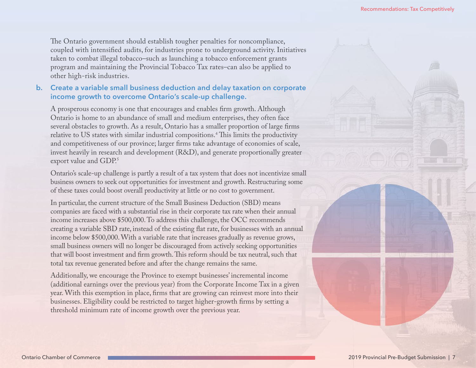The Ontario government should establish tougher penalties for noncompliance, coupled with intensified audits, for industries prone to underground activity. Initiatives taken to combat illegal tobacco–such as launching a tobacco enforcement grants program and maintaining the Provincial Tobacco Tax rates–can also be applied to other high-risk industries.

#### **b. Create a variable small business deduction and delay taxation on corporate income growth to overcome Ontario's scale-up challenge.**

A prosperous economy is one that encourages and enables firm growth. Although Ontario is home to an abundance of small and medium enterprises, they often face several obstacles to growth. As a result, Ontario has a smaller proportion of large firms relative to US states with similar industrial compositions.4 This limits the productivity and competitiveness of our province; larger firms take advantage of economies of scale, invest heavily in research and development (R&D), and generate proportionally greater export value and GDP.<sup>5</sup>

Ontario's scale-up challenge is partly a result of a tax system that does not incentivize small business owners to seek out opportunities for investment and growth. Restructuring some of these taxes could boost overall productivity at little or no cost to government.

In particular, the current structure of the Small Business Deduction (SBD) means companies are faced with a substantial rise in their corporate tax rate when their annual income increases above \$500,000. To address this challenge, the OCC recommends creating a variable SBD rate, instead of the existing flat rate, for businesses with an annual income below \$500,000. With a variable rate that increases gradually as revenue grows, small business owners will no longer be discouraged from actively seeking opportunities that will boost investment and firm growth. This reform should be tax neutral, such that total tax revenue generated before and after the change remains the same.

Additionally, we encourage the Province to exempt businesses' incremental income (additional earnings over the previous year) from the Corporate Income Tax in a given year. With this exemption in place, firms that are growing can reinvest more into their businesses. Eligibility could be restricted to target higher-growth firms by setting a threshold minimum rate of income growth over the previous year.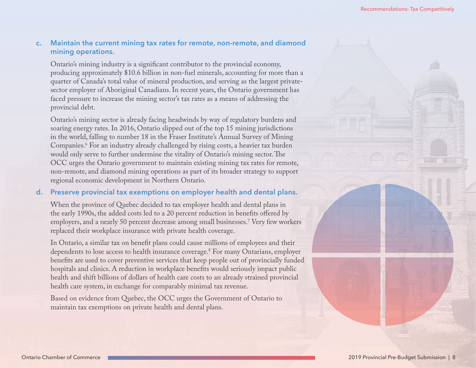#### **c. Maintain the current mining tax rates for remote, non-remote, and diamond mining operations.**

Ontario's mining industry is a significant contributor to the provincial economy, producing approximately \$10.6 billion in non-fuel minerals, accounting for more than a quarter of Canada's total value of mineral production, and serving as the largest privatesector employer of Aboriginal Canadians. In recent years, the Ontario government has faced pressure to increase the mining sector's tax rates as a means of addressing the provincial debt.

Ontario's mining sector is already facing headwinds by way of regulatory burdens and soaring energy rates. In 2016, Ontario slipped out of the top 15 mining jurisdictions in the world, falling to number 18 in the Fraser Institute's Annual Survey of Mining Companies.6 For an industry already challenged by rising costs, a heavier tax burden would only serve to further undermine the vitality of Ontario's mining sector. The OCC urges the Ontario government to maintain existing mining tax rates for remote, non-remote, and diamond mining operations as part of its broader strategy to support regional economic development in Northern Ontario.

#### **d. Preserve provincial tax exemptions on employer health and dental plans.**

When the province of Quebec decided to tax employer health and dental plans in the early 1990s, the added costs led to a 20 percent reduction in benefits offered by employers, and a nearly 50 percent decrease among small businesses.7 Very few workers replaced their workplace insurance with private health coverage.

In Ontario, a similar tax on benefit plans could cause millions of employees and their dependents to lose access to health insurance coverage.8 For many Ontarians, employer benefits are used to cover preventive services that keep people out of provincially funded hospitals and clinics. A reduction in workplace benefits would seriously impact public health and shift billions of dollars of health care costs to an already strained provincial health care system, in exchange for comparably minimal tax revenue.

Based on evidence from Quebec, the OCC urges the Government of Ontario to maintain tax exemptions on private health and dental plans.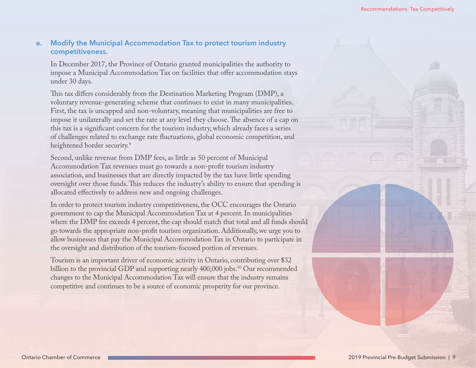#### **e. Modify the Municipal Accommodation Tax to protect tourism industry competitiveness.**

In December 2017, the Province of Ontario granted municipalities the authority to impose a Municipal Accommodation Tax on facilities that offer accommodation stays under 30 days.

This tax differs considerably from the Destination Marketing Program (DMP), a voluntary revenue-generating scheme that continues to exist in many municipalities. First, the tax is uncapped and non-voluntary, meaning that municipalities are free to impose it unilaterally and set the rate at any level they choose. The absence of a cap on this tax is a significant concern for the tourism industry, which already faces a series of challenges related to exchange rate fluctuations, global economic competition, and heightened border security.<sup>9</sup>

Second, unlike revenue from DMP fees, as little as 50 percent of Municipal Accommodation Tax revenues must go towards a non-profit tourism industry association, and businesses that are directly impacted by the tax have little spending oversight over those funds. This reduces the industry's ability to ensure that spending is allocated effectively to address new and ongoing challenges.

In order to protect tourism industry competitiveness, the OCC encourages the Ontario government to cap the Municipal Accommodation Tax at 4 percent. In municipalities where the DMP fee exceeds 4 percent, the cap should match that total and all funds should go towards the appropriate non-profit tourism organization. Additionally, we urge you to allow businesses that pay the Municipal Accommodation Tax in Ontario to participate in the oversight and distribution of the tourism-focused portion of revenues.

Tourism is an important driver of economic activity in Ontario, contributing over \$32 billion to the provincial GDP and supporting nearly 400,000 jobs.<sup>10</sup> Our recommended changes to the Municipal Accommodation Tax will ensure that the industry remains competitive and continues to be a source of economic prosperity for our province.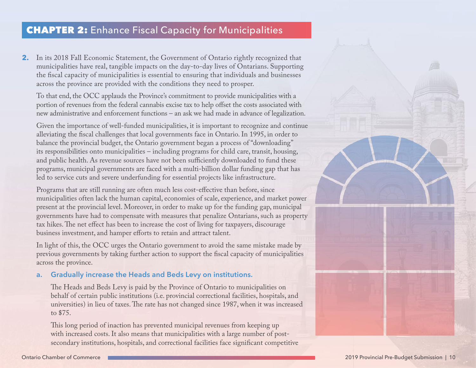### <span id="page-9-0"></span>CHAPTER 2: Enhance Fiscal Capacity for Municipalities

**2.** In its 2018 Fall Economic Statement, the Government of Ontario rightly recognized that municipalities have real, tangible impacts on the day-to-day lives of Ontarians. Supporting the fiscal capacity of municipalities is essential to ensuring that individuals and businesses across the province are provided with the conditions they need to prosper.

To that end, the OCC applauds the Province's commitment to provide municipalities with a portion of revenues from the federal cannabis excise tax to help offset the costs associated with new administrative and enforcement functions – an ask we had made in advance of legalization.

Given the importance of well-funded municipalities, it is important to recognize and continue alleviating the fiscal challenges that local governments face in Ontario. In 1995, in order to balance the provincial budget, the Ontario government began a process of "downloading" its responsibilities onto municipalities – including programs for child care, transit, housing, and public health. As revenue sources have not been sufficiently downloaded to fund these programs, municipal governments are faced with a multi-billion dollar funding gap that has led to service cuts and severe underfunding for essential projects like infrastructure.

Programs that are still running are often much less cost-effective than before, since municipalities often lack the human capital, economies of scale, experience, and market power present at the provincial level. Moreover, in order to make up for the funding gap, municipal governments have had to compensate with measures that penalize Ontarians, such as property tax hikes. The net effect has been to increase the cost of living for taxpayers, discourage business investment, and hamper efforts to retain and attract talent.

In light of this, the OCC urges the Ontario government to avoid the same mistake made by previous governments by taking further action to support the fiscal capacity of municipalities across the province.

#### **a. Gradually increase the Heads and Beds Levy on institutions.**

The Heads and Beds Levy is paid by the Province of Ontario to municipalities on behalf of certain public institutions (i.e. provincial correctional facilities, hospitals, and universities) in lieu of taxes. The rate has not changed since 1987, when it was increased to \$75.

This long period of inaction has prevented municipal revenues from keeping up with increased costs. It also means that municipalities with a large number of postsecondary institutions, hospitals, and correctional facilities face significant competitive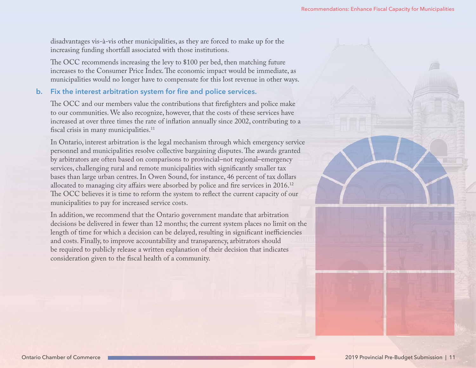disadvantages vis-à-vis other municipalities, as they are forced to make up for the increasing funding shortfall associated with those institutions.

The OCC recommends increasing the levy to \$100 per bed, then matching future increases to the Consumer Price Index. The economic impact would be immediate, as municipalities would no longer have to compensate for this lost revenue in other ways.

#### **b. Fix the interest arbitration system for fire and police services.**

The OCC and our members value the contributions that firefighters and police make to our communities. We also recognize, however, that the costs of these services have increased at over three times the rate of inflation annually since 2002, contributing to a fiscal crisis in many municipalities.<sup>11</sup>

In Ontario, interest arbitration is the legal mechanism through which emergency service personnel and municipalities resolve collective bargaining disputes. The awards granted by arbitrators are often based on comparisons to provincial–not regional–emergency services, challenging rural and remote municipalities with significantly smaller tax bases than large urban centres. In Owen Sound, for instance, 46 percent of tax dollars allocated to managing city affairs were absorbed by police and fire services in 2016.12 The OCC believes it is time to reform the system to reflect the current capacity of our municipalities to pay for increased service costs.

In addition, we recommend that the Ontario government mandate that arbitration decisions be delivered in fewer than 12 months; the current system places no limit on the length of time for which a decision can be delayed, resulting in significant inefficiencies and costs. Finally, to improve accountability and transparency, arbitrators should be required to publicly release a written explanation of their decision that indicates consideration given to the fiscal health of a community.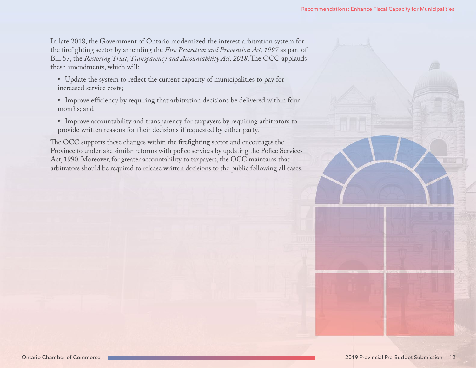In late 2018, the Government of Ontario modernized the interest arbitration system for the firefighting sector by amending the *Fire Protection and Prevention Act, 1997* as part of Bill 57, the *Restoring Trust, Transparency and Accountability Act, 2018*. The OCC applauds these amendments, which will:

- Update the system to reflect the current capacity of municipalities to pay for increased service costs;
- Improve efficiency by requiring that arbitration decisions be delivered within four months; and
- Improve accountability and transparency for taxpayers by requiring arbitrators to provide written reasons for their decisions if requested by either party.

The OCC supports these changes within the firefighting sector and encourages the Province to undertake similar reforms with police services by updating the Police Services Act, 1990. Moreover, for greater accountability to taxpayers, the OCC maintains that arbitrators should be required to release written decisions to the public following all cases.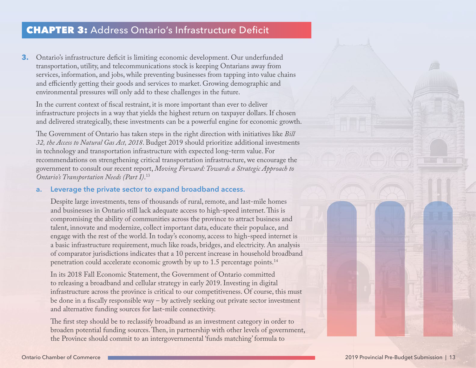### <span id="page-12-0"></span>CHAPTER 3: Address Ontario's Infrastructure Deficit

**3.** Ontario's infrastructure deficit is limiting economic development. Our underfunded transportation, utility, and telecommunications stock is keeping Ontarians away from services, information, and jobs, while preventing businesses from tapping into value chains and efficiently getting their goods and services to market. Growing demographic and environmental pressures will only add to these challenges in the future.

In the current context of fiscal restraint, it is more important than ever to deliver infrastructure projects in a way that yields the highest return on taxpayer dollars. If chosen and delivered strategically, these investments can be a powerful engine for economic growth.

The Government of Ontario has taken steps in the right direction with initiatives like *Bill 32, the Access to Natural Gas Act, 2018*. Budget 2019 should prioritize additional investments in technology and transportation infrastructure with expected long-term value. For recommendations on strengthening critical transportation infrastructure, we encourage the government to consult our recent report, *Moving Forward: Towards a Strategic Approach to Ontario's Transportation Needs (Part I)*. 13

#### **a. Leverage the private sector to expand broadband access.**

Despite large investments, tens of thousands of rural, remote, and last-mile homes and businesses in Ontario still lack adequate access to high-speed internet. This is compromising the ability of communities across the province to attract business and talent, innovate and modernize, collect important data, educate their populace, and engage with the rest of the world. In today's economy, access to high-speed internet is a basic infrastructure requirement, much like roads, bridges, and electricity. An analysis of comparator jurisdictions indicates that a 10 percent increase in household broadband penetration could accelerate economic growth by up to 1.5 percentage points.<sup>14</sup>

In its 2018 Fall Economic Statement, the Government of Ontario committed to releasing a broadband and cellular strategy in early 2019. Investing in digital infrastructure across the province is critical to our competitiveness. Of course, this must be done in a fiscally responsible way – by actively seeking out private sector investment and alternative funding sources for last-mile connectivity.

The first step should be to reclassify broadband as an investment category in order to broaden potential funding sources. Then, in partnership with other levels of government, the Province should commit to an intergovernmental 'funds matching' formula to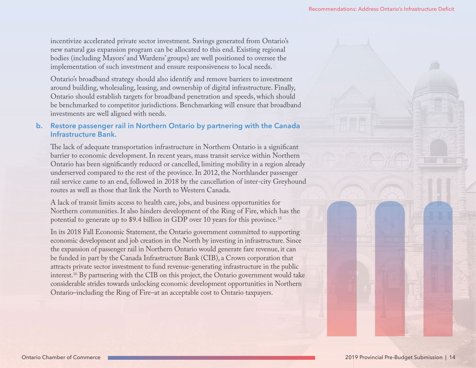incentivize accelerated private sector investment. Savings generated from Ontario's new natural gas expansion program can be allocated to this end. Existing regional bodies (including Mayors' and Wardens' groups) are well positioned to oversee the implementation of such investment and ensure responsiveness to local needs.

Ontario's broadband strategy should also identify and remove barriers to investment around building, wholesaling, leasing, and ownership of digital infrastructure. Finally, Ontario should establish targets for broadband penetration and speeds, which should be benchmarked to competitor jurisdictions. Benchmarking will ensure that broadband investments are well aligned with needs.

#### **b. Restore passenger rail in Northern Ontario by partnering with the Canada Infrastructure Bank.**

The lack of adequate transportation infrastructure in Northern Ontario is a significant barrier to economic development. In recent years, mass transit service within Northern Ontario has been significantly reduced or cancelled, limiting mobility in a region already underserved compared to the rest of the province. In 2012, the Northlander passenger rail service came to an end, followed in 2018 by the cancellation of inter-city Greyhound routes as well as those that link the North to Western Canada.

A lack of transit limits access to health care, jobs, and business opportunities for Northern communities. It also hinders development of the Ring of Fire, which has the potential to generate up to \$9.4 billion in GDP over 10 years for this province.<sup>15</sup>

In its 2018 Fall Economic Statement, the Ontario government committed to supporting economic development and job creation in the North by investing in infrastructure. Since the expansion of passenger rail in Northern Ontario would generate fare revenue, it can be funded in part by the Canada Infrastructure Bank (CIB), a Crown corporation that attracts private sector investment to fund revenue-generating infrastructure in the public interest.16 By partnering with the CIB on this project, the Ontario government would take considerable strides towards unlocking economic development opportunities in Northern Ontario–including the Ring of Fire–at an acceptable cost to Ontario taxpayers.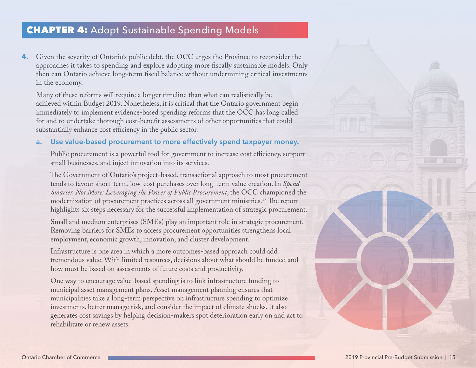### <span id="page-14-0"></span>CHAPTER 4: Adopt Sustainable Spending Models

**4.** Given the severity of Ontario's public debt, the OCC urges the Province to reconsider the approaches it takes to spending and explore adopting more fiscally sustainable models. Only then can Ontario achieve long-term fiscal balance without undermining critical investments in the economy.

Many of these reforms will require a longer timeline than what can realistically be achieved within Budget 2019. Nonetheless, it is critical that the Ontario government begin immediately to implement evidence-based spending reforms that the OCC has long called for and to undertake thorough cost-benefit assessments of other opportunities that could substantially enhance cost efficiency in the public sector.

#### **a. Use value-based procurement to more effectively spend taxpayer money.**

Public procurement is a powerful tool for government to increase cost efficiency, support small businesses, and inject innovation into its services.

The Government of Ontario's project-based, transactional approach to most procurement tends to favour short-term, low-cost purchases over long-term value creation. In *Spend Smarter, Not More: Leveraging the Power of Public Procurement*, the OCC championed the modernization of procurement practices across all government ministries.17 The report highlights six steps necessary for the successful implementation of strategic procurement.

Small and medium enterprises (SMEs) play an important role in strategic procurement. Removing barriers for SMEs to access procurement opportunities strengthens local employment, economic growth, innovation, and cluster development.

Infrastructure is one area in which a more outcomes-based approach could add tremendous value. With limited resources, decisions about what should be funded and how must be based on assessments of future costs and productivity.

One way to encourage value-based spending is to link infrastructure funding to municipal asset management plans. Asset management planning ensures that municipalities take a long-term perspective on infrastructure spending to optimize investments, better manage risk, and consider the impact of climate shocks. It also generates cost savings by helping decision-makers spot deterioration early on and act to rehabilitate or renew assets.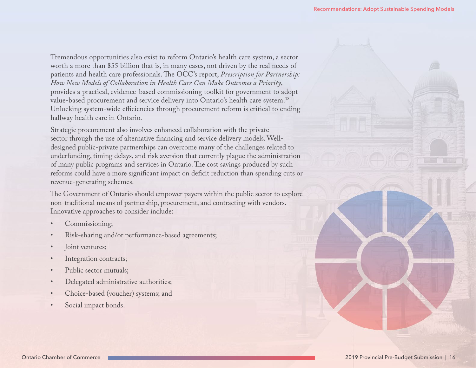Tremendous opportunities also exist to reform Ontario's health care system, a sector worth a more than \$55 billion that is, in many cases, not driven by the real needs of patients and health care professionals. The OCC's report, *Prescription for Partnership: How New Models of Collaboration in Health Care Can Make Outcomes a Priority*, provides a practical, evidence-based commissioning toolkit for government to adopt value-based procurement and service delivery into Ontario's health care system.<sup>18</sup> Unlocking system-wide efficiencies through procurement reform is critical to ending hallway health care in Ontario.

Strategic procurement also involves enhanced collaboration with the private sector through the use of alternative financing and service delivery models. Welldesigned public-private partnerships can overcome many of the challenges related to underfunding, timing delays, and risk aversion that currently plague the administration of many public programs and services in Ontario. The cost savings produced by such reforms could have a more significant impact on deficit reduction than spending cuts or revenue-generating schemes.

The Government of Ontario should empower payers within the public sector to explore non-traditional means of partnership, procurement, and contracting with vendors. Innovative approaches to consider include:

- Commissioning;
- Risk-sharing and/or performance-based agreements;
- Joint ventures;
- Integration contracts;
- Public sector mutuals:
- Delegated administrative authorities;
- Choice-based (voucher) systems; and
- Social impact bonds.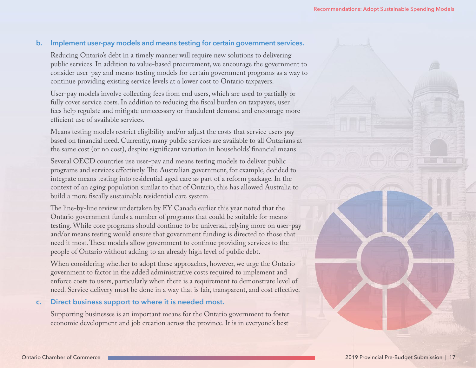#### **b. Implement user-pay models and means testing for certain government services.**

Reducing Ontario's debt in a timely manner will require new solutions to delivering public services. In addition to value-based procurement, we encourage the government to consider user-pay and means testing models for certain government programs as a way to continue providing existing service levels at a lower cost to Ontario taxpayers.

User-pay models involve collecting fees from end users, which are used to partially or fully cover service costs. In addition to reducing the fiscal burden on taxpayers, user fees help regulate and mitigate unnecessary or fraudulent demand and encourage more efficient use of available services.

Means testing models restrict eligibility and/or adjust the costs that service users pay based on financial need. Currently, many public services are available to all Ontarians at the same cost (or no cost), despite significant variation in households' financial means.

Several OECD countries use user-pay and means testing models to deliver public programs and services effectively. The Australian government, for example, decided to integrate means testing into residential aged care as part of a reform package. In the context of an aging population similar to that of Ontario, this has allowed Australia to build a more fiscally sustainable residential care system.

The line-by-line review undertaken by EY Canada earlier this year noted that the Ontario government funds a number of programs that could be suitable for means testing. While core programs should continue to be universal, relying more on user-pay and/or means testing would ensure that government funding is directed to those that need it most. These models allow government to continue providing services to the people of Ontario without adding to an already high level of public debt.

When considering whether to adopt these approaches, however, we urge the Ontario government to factor in the added administrative costs required to implement and enforce costs to users, particularly when there is a requirement to demonstrate level of need. Service delivery must be done in a way that is fair, transparent, and cost effective.

#### **c. Direct business support to where it is needed most.**

Supporting businesses is an important means for the Ontario government to foster economic development and job creation across the province. It is in everyone's best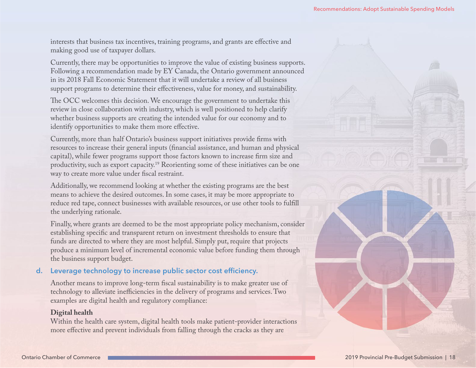interests that business tax incentives, training programs, and grants are effective and making good use of taxpayer dollars.

Currently, there may be opportunities to improve the value of existing business supports. Following a recommendation made by EY Canada, the Ontario government announced in its 2018 Fall Economic Statement that it will undertake a review of all business support programs to determine their effectiveness, value for money, and sustainability.

The OCC welcomes this decision. We encourage the government to undertake this review in close collaboration with industry, which is well positioned to help clarify whether business supports are creating the intended value for our economy and to identify opportunities to make them more effective.

Currently, more than half Ontario's business support initiatives provide firms with resources to increase their general inputs (financial assistance, and human and physical capital), while fewer programs support those factors known to increase firm size and productivity, such as export capacity.19 Reorienting some of these initiatives can be one way to create more value under fiscal restraint.

Additionally, we recommend looking at whether the existing programs are the best means to achieve the desired outcomes. In some cases, it may be more appropriate to reduce red tape, connect businesses with available resources, or use other tools to fulfill the underlying rationale.

Finally, where grants are deemed to be the most appropriate policy mechanism, consider establishing specific and transparent return on investment thresholds to ensure that funds are directed to where they are most helpful. Simply put, require that projects produce a minimum level of incremental economic value before funding them through the business support budget.

#### **d. Leverage technology to increase public sector cost efficiency.**

Another means to improve long-term fiscal sustainability is to make greater use of technology to alleviate inefficiencies in the delivery of programs and services. Two examples are digital health and regulatory compliance:

#### **Digital health**

Within the health care system, digital health tools make patient-provider interactions more effective and prevent individuals from falling through the cracks as they are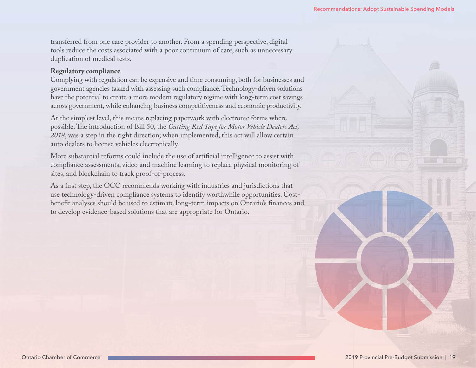transferred from one care provider to another. From a spending perspective, digital tools reduce the costs associated with a poor continuum of care, such as unnecessary duplication of medical tests.

#### **Regulatory compliance**

Complying with regulation can be expensive and time consuming, both for businesses and government agencies tasked with assessing such compliance. Technology-driven solutions have the potential to create a more modern regulatory regime with long-term cost savings across government, while enhancing business competitiveness and economic productivity.

At the simplest level, this means replacing paperwork with electronic forms where possible. The introduction of Bill 50, the *Cutting Red Tape for Motor Vehicle Dealers Act, 2018*, was a step in the right direction; when implemented, this act will allow certain auto dealers to license vehicles electronically.

More substantial reforms could include the use of artificial intelligence to assist with compliance assessments, video and machine learning to replace physical monitoring of sites, and blockchain to track proof-of-process.

As a first step, the OCC recommends working with industries and jurisdictions that use technology-driven compliance systems to identify worthwhile opportunities. Costbenefit analyses should be used to estimate long-term impacts on Ontario's finances and to develop evidence-based solutions that are appropriate for Ontario.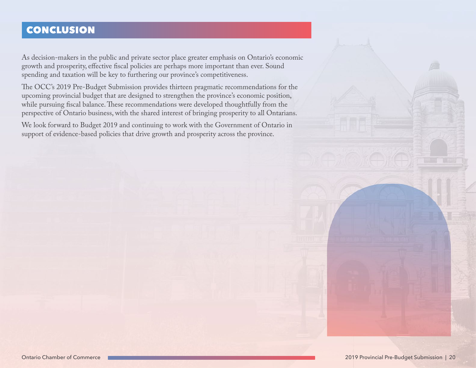# <span id="page-19-0"></span>CONCLUSION

As decision-makers in the public and private sector place greater emphasis on Ontario's economic growth and prosperity, effective fiscal policies are perhaps more important than ever. Sound spending and taxation will be key to furthering our province's competitiveness.

The OCC's 2019 Pre-Budget Submission provides thirteen pragmatic recommendations for the upcoming provincial budget that are designed to strengthen the province's economic position, while pursuing fiscal balance. These recommendations were developed thoughtfully from the perspective of Ontario business, with the shared interest of bringing prosperity to all Ontarians.

We look forward to Budget 2019 and continuing to work with the Government of Ontario in support of evidence-based policies that drive growth and prosperity across the province.